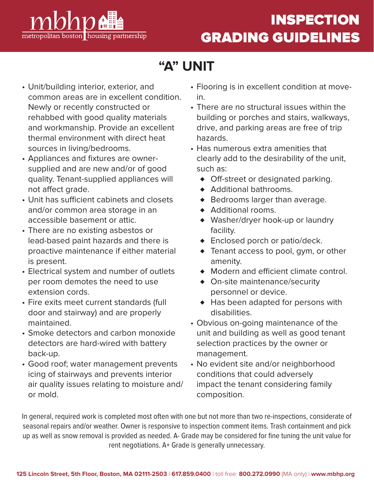

## INSPECTION GRADING GUIDELINES

# **"A" UNIT**

- Unit/building interior, exterior, and common areas are in excellent condition. Newly or recently constructed or rehabbed with good quality materials and workmanship. Provide an excellent thermal environment with direct heat sources in living/bedrooms.
- Appliances and fixtures are ownersupplied and are new and/or of good quality. Tenant-supplied appliances will not affect grade.
- Unit has sufficient cabinets and closets and/or common area storage in an accessible basement or attic.
- There are no existing asbestos or lead-based paint hazards and there is proactive maintenance if either material is present.
- Electrical system and number of outlets per room demotes the need to use extension cords.
- Fire exits meet current standards (full door and stairway) and are properly maintained.
- Smoke detectors and carbon monoxide detectors are hard-wired with battery back-up.
- Good roof; water management prevents icing of stairways and prevents interior air quality issues relating to moisture and/ or mold.
- Flooring is in excellent condition at movein.
- There are no structural issues within the building or porches and stairs, walkways, drive, and parking areas are free of trip hazards.
- Has numerous extra amenities that clearly add to the desirability of the unit, such as:
	- ♦ Off-street or designated parking.
	- ♦ Additional bathrooms.
	- ♦ Bedrooms larger than average.
	- ♦ Additional rooms.
	- ♦ Washer/dryer hook-up or laundry facility.
	- ♦ Enclosed porch or patio/deck.
	- ♦ Tenant access to pool, gym, or other amenity.
	- ♦ Modern and efficient climate control.
	- ♦ On-site maintenance/security personnel or device.
	- ♦ Has been adapted for persons with disabilities.
- Obvious on-going maintenance of the unit and building as well as good tenant selection practices by the owner or management.
- No evident site and/or neighborhood conditions that could adversely impact the tenant considering family composition.

In general, required work is completed most often with one but not more than two re-inspections, considerate of seasonal repairs and/or weather. Owner is responsive to inspection comment items. Trash containment and pick up as well as snow removal is provided as needed. A- Grade may be considered for fine tuning the unit value for rent negotiations. A+ Grade is generally unnecessary.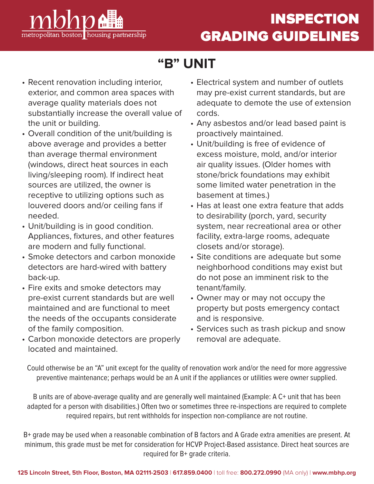

# **"B" UNIT**

- Recent renovation including interior, exterior, and common area spaces with average quality materials does not substantially increase the overall value of the unit or building.
- Overall condition of the unit/building is above average and provides a better than average thermal environment (windows, direct heat sources in each living/sleeping room). If indirect heat sources are utilized, the owner is receptive to utilizing options such as louvered doors and/or ceiling fans if needed.
- Unit/building is in good condition. Appliances, fixtures, and other features are modern and fully functional.
- Smoke detectors and carbon monoxide detectors are hard-wired with battery back-up.
- Fire exits and smoke detectors may pre-exist current standards but are well maintained and are functional to meet the needs of the occupants considerate of the family composition.
- Carbon monoxide detectors are properly located and maintained.
- Electrical system and number of outlets may pre-exist current standards, but are adequate to demote the use of extension cords.
- Any asbestos and/or lead based paint is proactively maintained.
- Unit/building is free of evidence of excess moisture, mold, and/or interior air quality issues. (Older homes with stone/brick foundations may exhibit some limited water penetration in the basement at times.)
- Has at least one extra feature that adds to desirability (porch, yard, security system, near recreational area or other facility, extra-large rooms, adequate closets and/or storage).
- Site conditions are adequate but some neighborhood conditions may exist but do not pose an imminent risk to the tenant/family.
- Owner may or may not occupy the property but posts emergency contact and is responsive.
- Services such as trash pickup and snow removal are adequate.

Could otherwise be an "A" unit except for the quality of renovation work and/or the need for more aggressive preventive maintenance; perhaps would be an A unit if the appliances or utilities were owner supplied.

B units are of above-average quality and are generally well maintained (Example: A C+ unit that has been adapted for a person with disabilities.) Often two or sometimes three re-inspections are required to complete required repairs, but rent withholds for inspection non-compliance are not routine.

B+ grade may be used when a reasonable combination of B factors and A Grade extra amenities are present. At minimum, this grade must be met for consideration for HCVP Project-Based assistance. Direct heat sources are required for B+ grade criteria.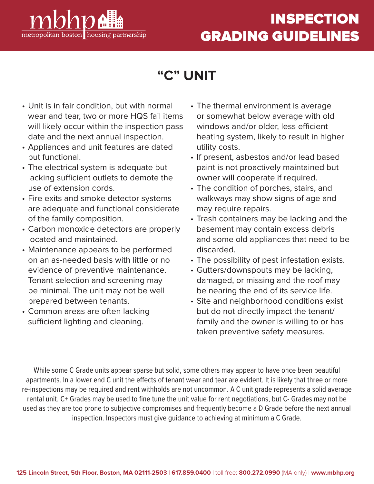

# **INSPECTION** GRADING GUIDELINES

### **"C" UNIT**

- Unit is in fair condition, but with normal wear and tear, two or more HQS fail items will likely occur within the inspection pass date and the next annual inspection.
- Appliances and unit features are dated but functional.
- The electrical system is adequate but lacking sufficient outlets to demote the use of extension cords.
- Fire exits and smoke detector systems are adequate and functional considerate of the family composition.
- Carbon monoxide detectors are properly located and maintained.
- Maintenance appears to be performed on an as-needed basis with little or no evidence of preventive maintenance. Tenant selection and screening may be minimal. The unit may not be well prepared between tenants.
- Common areas are often lacking sufficient lighting and cleaning.
- The thermal environment is average or somewhat below average with old windows and/or older, less efficient heating system, likely to result in higher utility costs.
- If present, asbestos and/or lead based paint is not proactively maintained but owner will cooperate if required.
- The condition of porches, stairs, and walkways may show signs of age and may require repairs.
- Trash containers may be lacking and the basement may contain excess debris and some old appliances that need to be discarded.
- The possibility of pest infestation exists.
- Gutters/downspouts may be lacking, damaged, or missing and the roof may be nearing the end of its service life.
- Site and neighborhood conditions exist but do not directly impact the tenant/ family and the owner is willing to or has taken preventive safety measures.

While some C Grade units appear sparse but solid, some others may appear to have once been beautiful apartments. In a lower end C unit the effects of tenant wear and tear are evident. It is likely that three or more re-inspections may be required and rent withholds are not uncommon. A C unit grade represents a solid average rental unit. C+ Grades may be used to fine tune the unit value for rent negotiations, but C- Grades may not be used as they are too prone to subjective compromises and frequently become a D Grade before the next annual inspection. Inspectors must give guidance to achieving at minimum a C Grade.